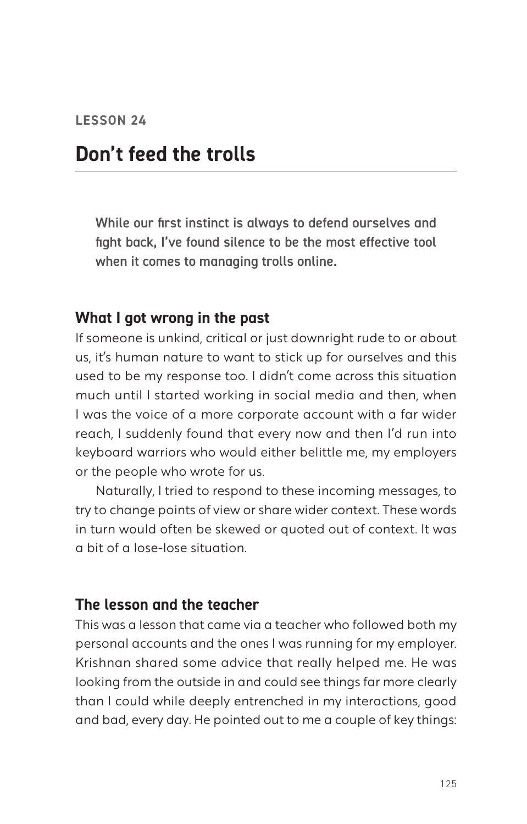# **Don't feed the trolls**

While our first instinct is always to defend ourselves and fight back, I've found silence to be the most effective tool when it comes to managing trolls online.

#### **What I got wrong in the past**

If someone is unkind, critical or just downright rude to or about us, it's human nature to want to stick up for ourselves and this used to be my response too. I didn't come across this situation much until I started working in social media and then, when I was the voice of a more corporate account with a far wider reach, I suddenly found that every now and then I'd run into keyboard warriors who would either belittle me, my employers or the people who wrote for us.

Naturally, I tried to respond to these incoming messages, to try to change points of view or share wider context. These words in turn would often be skewed or quoted out of context. It was a bit of a lose-lose situation.

#### **The lesson and the teacher**

This was a lesson that came via a teacher who followed both my personal accounts and the ones I was running for my employer. Krishnan shared some advice that really helped me. He was looking from the outside in and could see things far more clearly than I could while deeply entrenched in my interactions, good and bad, every day. He pointed out to me a couple of key things: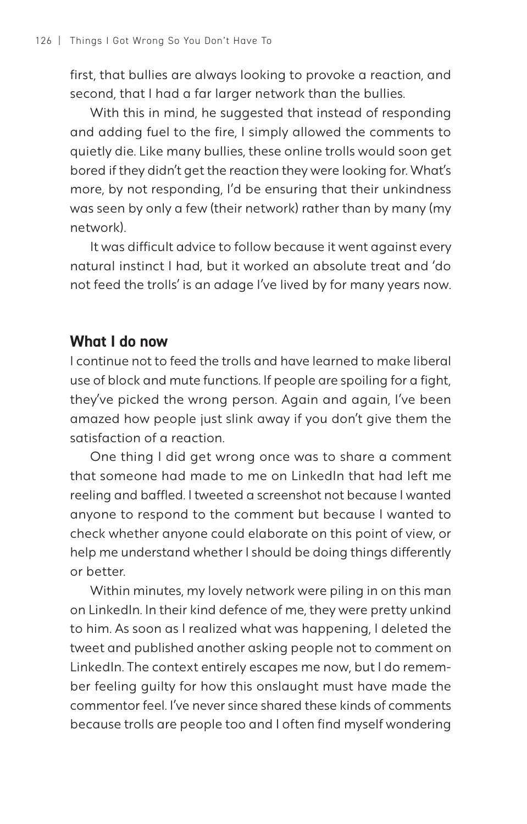first, that bullies are always looking to provoke a reaction, and second, that I had a far larger network than the bullies.

With this in mind, he suggested that instead of responding and adding fuel to the fire, I simply allowed the comments to quietly die. Like many bullies, these online trolls would soon get bored if they didn't get the reaction they were looking for. What's more, by not responding, I'd be ensuring that their unkindness was seen by only a few (their network) rather than by many (my network).

It was difficult advice to follow because it went against every natural instinct I had, but it worked an absolute treat and 'do not feed the trolls' is an adage I've lived by for many years now.

#### **What I do now**

I continue not to feed the trolls and have learned to make liberal use of block and mute functions. If people are spoiling for a fight, they've picked the wrong person. Again and again, I've been amazed how people just slink away if you don't give them the satisfaction of a reaction.

One thing I did get wrong once was to share a comment that someone had made to me on LinkedIn that had left me reeling and baffled. I tweeted a screenshot not because I wanted anyone to respond to the comment but because I wanted to check whether anyone could elaborate on this point of view, or help me understand whether I should be doing things differently or better.

Within minutes, my lovely network were piling in on this man on LinkedIn. In their kind defence of me, they were pretty unkind to him. As soon as I realized what was happening, I deleted the tweet and published another asking people not to comment on LinkedIn. The context entirely escapes me now, but I do remember feeling guilty for how this onslaught must have made the commentor feel. I've never since shared these kinds of comments because trolls are people too and I often find myself wondering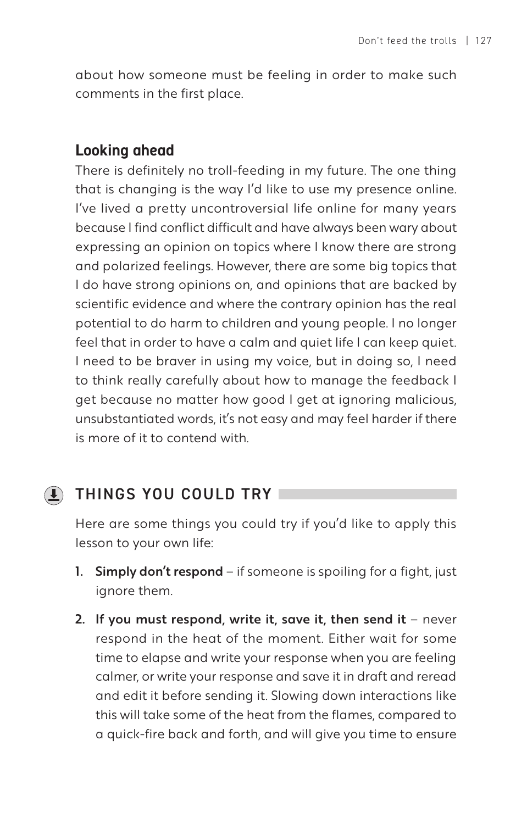about how someone must be feeling in order to make such comments in the first place.

### **Looking ahead**

There is definitely no troll-feeding in my future. The one thing that is changing is the way I'd like to use my presence online. I've lived a pretty uncontroversial life online for many years because I find conflict difficult and have always been wary about expressing an opinion on topics where I know there are strong and polarized feelings. However, there are some big topics that I do have strong opinions on, and opinions that are backed by scientific evidence and where the contrary opinion has the real potential to do harm to children and young people. I no longer feel that in order to have a calm and quiet life I can keep quiet. I need to be braver in using my voice, but in doing so, I need to think really carefully about how to manage the feedback I get because no matter how good I get at ignoring malicious, unsubstantiated words, it's not easy and may feel harder if there is more of it to contend with.

## THINGS YOU COULD TRY

Here are some things you could try if you'd like to apply this lesson to your own life:

- 1. Simply don't respond if someone is spoiling for a fight, just ignore them.
- 2. If you must respond, write it, save it, then send it  $-$  never respond in the heat of the moment. Either wait for some time to elapse and write your response when you are feeling calmer, or write your response and save it in draft and reread and edit it before sending it. Slowing down interactions like this will take some of the heat from the flames, compared to a quick-fire back and forth, and will give you time to ensure